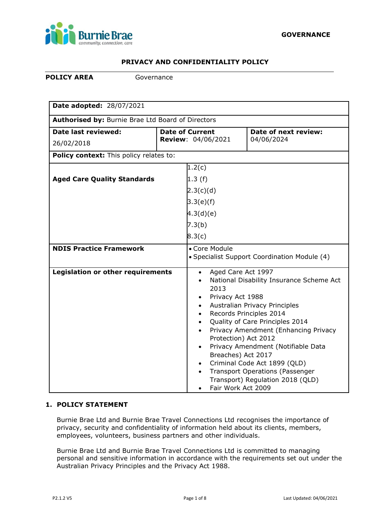

# **PRIVACY AND CONFIDENTIALITY POLICY**

**POLICY AREA Governance** 

| Date adopted: 28/07/2021                          |                                                     |                                                                                                                                                                                                                                                                                                                                                                                                                                                           |                                    |
|---------------------------------------------------|-----------------------------------------------------|-----------------------------------------------------------------------------------------------------------------------------------------------------------------------------------------------------------------------------------------------------------------------------------------------------------------------------------------------------------------------------------------------------------------------------------------------------------|------------------------------------|
| Authorised by: Burnie Brae Ltd Board of Directors |                                                     |                                                                                                                                                                                                                                                                                                                                                                                                                                                           |                                    |
| Date last reviewed:                               | <b>Date of Current</b><br><b>Review: 04/06/2021</b> |                                                                                                                                                                                                                                                                                                                                                                                                                                                           | Date of next review:<br>04/06/2024 |
| 26/02/2018                                        |                                                     |                                                                                                                                                                                                                                                                                                                                                                                                                                                           |                                    |
| Policy context: This policy relates to:           |                                                     |                                                                                                                                                                                                                                                                                                                                                                                                                                                           |                                    |
| <b>Aged Care Quality Standards</b>                |                                                     | 1.2(c)                                                                                                                                                                                                                                                                                                                                                                                                                                                    |                                    |
|                                                   |                                                     | 1.3(f)                                                                                                                                                                                                                                                                                                                                                                                                                                                    |                                    |
|                                                   |                                                     | 2.3(c)(d)                                                                                                                                                                                                                                                                                                                                                                                                                                                 |                                    |
|                                                   |                                                     | 3.3(e)(f)                                                                                                                                                                                                                                                                                                                                                                                                                                                 |                                    |
|                                                   |                                                     | 4.3(d)(e)                                                                                                                                                                                                                                                                                                                                                                                                                                                 |                                    |
|                                                   |                                                     | 7.3(b)                                                                                                                                                                                                                                                                                                                                                                                                                                                    |                                    |
|                                                   |                                                     | 8.3(c)                                                                                                                                                                                                                                                                                                                                                                                                                                                    |                                    |
| <b>NDIS Practice Framework</b>                    |                                                     | • Core Module                                                                                                                                                                                                                                                                                                                                                                                                                                             |                                    |
|                                                   |                                                     | • Specialist Support Coordination Module (4)                                                                                                                                                                                                                                                                                                                                                                                                              |                                    |
| <b>Legislation or other requirements</b>          |                                                     | Aged Care Act 1997<br>National Disability Insurance Scheme Act<br>2013<br>Privacy Act 1988<br>Australian Privacy Principles<br>Records Principles 2014<br>Quality of Care Principles 2014<br>Privacy Amendment (Enhancing Privacy<br>Protection) Act 2012<br>Privacy Amendment (Notifiable Data<br>Breaches) Act 2017<br>Criminal Code Act 1899 (QLD)<br><b>Transport Operations (Passenger</b><br>Transport) Regulation 2018 (QLD)<br>Fair Work Act 2009 |                                    |

# **1. POLICY STATEMENT**

Burnie Brae Ltd and Burnie Brae Travel Connections Ltd recognises the importance of privacy, security and confidentiality of information held about its clients, members, employees, volunteers, business partners and other individuals.

Burnie Brae Ltd and Burnie Brae Travel Connections Ltd is committed to managing personal and sensitive information in accordance with the requirements set out under the Australian Privacy Principles and the Privacy Act 1988.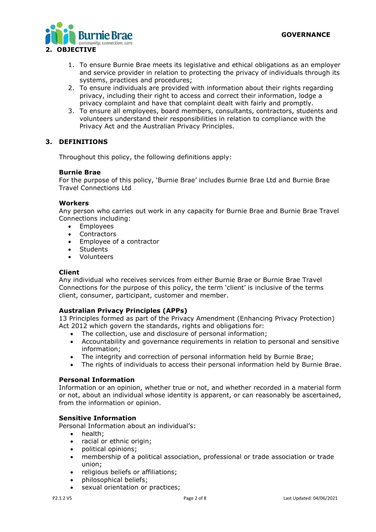

- 1. To ensure Burnie Brae meets its legislative and ethical obligations as an employer and service provider in relation to protecting the privacy of individuals through its systems, practices and procedures;
- 2. To ensure individuals are provided with information about their rights regarding privacy, including their right to access and correct their information, lodge a privacy complaint and have that complaint dealt with fairly and promptly.
- 3. To ensure all employees, board members, consultants, contractors, students and volunteers understand their responsibilities in relation to compliance with the Privacy Act and the Australian Privacy Principles.

# **3. DEFINITIONS**

Throughout this policy, the following definitions apply:

### **Burnie Brae**

For the purpose of this policy, 'Burnie Brae' includes Burnie Brae Ltd and Burnie Brae Travel Connections Ltd

### **Workers**

Any person who carries out work in any capacity for Burnie Brae and Burnie Brae Travel Connections including:

- Employees
- Contractors
- Employee of a contractor
- Students
- Volunteers

# **Client**

Any individual who receives services from either Burnie Brae or Burnie Brae Travel Connections for the purpose of this policy, the term 'client' is inclusive of the terms client, consumer, participant, customer and member.

# **Australian Privacy Principles (APPs)**

13 Principles formed as part of the Privacy Amendment (Enhancing Privacy Protection) Act 2012 which govern the standards, rights and obligations for:

- The collection, use and disclosure of personal information;
- Accountability and governance requirements in relation to personal and sensitive information;
- The integrity and correction of personal information held by Burnie Brae;
- The rights of individuals to access their personal information held by Burnie Brae.

# **Personal Information**

Information or an opinion, whether true or not, and whether recorded in a material form or not, about an individual whose identity is apparent, or can reasonably be ascertained, from the information or opinion.

# **Sensitive Information**

Personal Information about an individual's:

- health;
- racial or ethnic origin:
- political opinions;
- membership of a political association, professional or trade association or trade union;
- religious beliefs or affiliations;
- philosophical beliefs;
- sexual orientation or practices;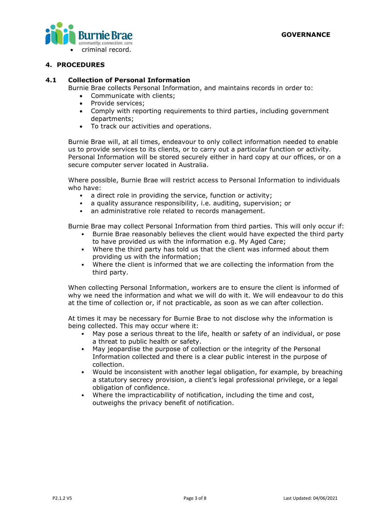

# **4. PROCEDURES**

### **4.1 Collection of Personal Information**

Burnie Brae collects Personal Information, and maintains records in order to:

- Communicate with clients:
- Provide services:
- Comply with reporting requirements to third parties, including government departments;
- To track our activities and operations.

Burnie Brae will, at all times, endeavour to only collect information needed to enable us to provide services to its clients, or to carry out a particular function or activity. Personal Information will be stored securely either in hard copy at our offices, or on a secure computer server located in Australia.

Where possible, Burnie Brae will restrict access to Personal Information to individuals who have:

- a direct role in providing the service, function or activity;
- a quality assurance responsibility, i.e. auditing, supervision; or
- an administrative role related to records management.

Burnie Brae may collect Personal Information from third parties. This will only occur if:

- Burnie Brae reasonably believes the client would have expected the third party to have provided us with the information e.g. My Aged Care;
- Where the third party has told us that the client was informed about them providing us with the information;
- Where the client is informed that we are collecting the information from the third party.

When collecting Personal Information, workers are to ensure the client is informed of why we need the information and what we will do with it. We will endeavour to do this at the time of collection or, if not practicable, as soon as we can after collection.

At times it may be necessary for Burnie Brae to not disclose why the information is being collected. This may occur where it:

- May pose a serious threat to the life, health or safety of an individual, or pose a threat to public health or safety.
- May jeopardise the purpose of collection or the integrity of the Personal Information collected and there is a clear public interest in the purpose of collection.
- Would be inconsistent with another legal obligation, for example, by breaching a statutory secrecy provision, a client's legal professional privilege, or a legal obligation of confidence.
- Where the impracticability of notification, including the time and cost, outweighs the privacy benefit of notification.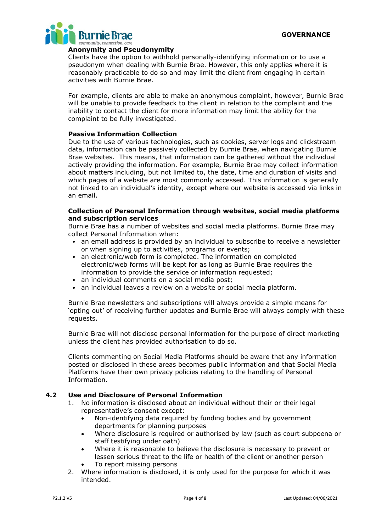

#### **Anonymity and Pseudonymity**

Clients have the option to withhold personally-identifying information or to use a pseudonym when dealing with Burnie Brae. However, this only applies where it is reasonably practicable to do so and may limit the client from engaging in certain activities with Burnie Brae.

For example, clients are able to make an anonymous complaint, however, Burnie Brae will be unable to provide feedback to the client in relation to the complaint and the inability to contact the client for more information may limit the ability for the complaint to be fully investigated.

# **Passive Information Collection**

Due to the use of various technologies, such as cookies, server logs and clickstream data, information can be passively collected by Burnie Brae, when navigating Burnie Brae websites. This means, that information can be gathered without the individual actively providing the information. For example, Burnie Brae may collect information about matters including, but not limited to, the date, time and duration of visits and which pages of a website are most commonly accessed. This information is generally not linked to an individual's identity, except where our website is accessed via links in an email.

### **Collection of Personal Information through websites, social media platforms and subscription services**

Burnie Brae has a number of websites and social media platforms. Burnie Brae may collect Personal Information when:

- an email address is provided by an individual to subscribe to receive a newsletter or when signing up to activities, programs or events;
- an electronic/web form is completed. The information on completed electronic/web forms will be kept for as long as Burnie Brae requires the information to provide the service or information requested;
- an individual comments on a social media post;
- an individual leaves a review on a website or social media platform.

Burnie Brae newsletters and subscriptions will always provide a simple means for 'opting out' of receiving further updates and Burnie Brae will always comply with these requests.

Burnie Brae will not disclose personal information for the purpose of direct marketing unless the client has provided authorisation to do so.

Clients commenting on Social Media Platforms should be aware that any information posted or disclosed in these areas becomes public information and that Social Media Platforms have their own privacy policies relating to the handling of Personal Information.

# **4.2 Use and Disclosure of Personal Information**

- 1. No information is disclosed about an individual without their or their legal representative's consent except:
	- Non-identifying data required by funding bodies and by government departments for planning purposes
	- Where disclosure is required or authorised by law (such as court subpoena or staff testifying under oath)
	- Where it is reasonable to believe the disclosure is necessary to prevent or lessen serious threat to the life or health of the client or another person
	- To report missing persons
- 2. Where information is disclosed, it is only used for the purpose for which it was intended.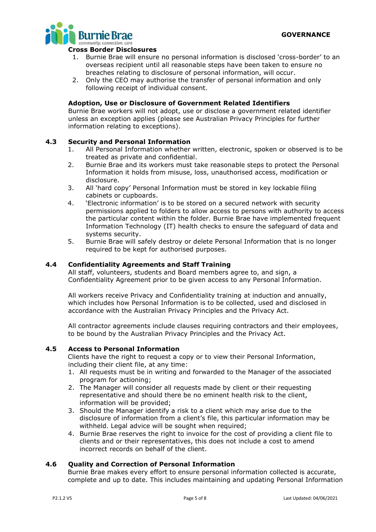

#### **Cross Border Disclosures**

- 1. Burnie Brae will ensure no personal information is disclosed 'cross-border' to an overseas recipient until all reasonable steps have been taken to ensure no breaches relating to disclosure of personal information, will occur.
- 2. Only the CEO may authorise the transfer of personal information and only following receipt of individual consent.

### **Adoption, Use or Disclosure of Government Related Identifiers**

Burnie Brae workers will not adopt, use or disclose a government related identifier unless an exception applies (please see Australian Privacy Principles for further information relating to exceptions).

# **4.3 Security and Personal Information**

- 1. All Personal Information whether written, electronic, spoken or observed is to be treated as private and confidential.
- 2. Burnie Brae and its workers must take reasonable steps to protect the Personal Information it holds from misuse, loss, unauthorised access, modification or disclosure.
- 3. All 'hard copy' Personal Information must be stored in key lockable filing cabinets or cupboards.
- 4. 'Electronic information' is to be stored on a secured network with security permissions applied to folders to allow access to persons with authority to access the particular content within the folder. Burnie Brae have implemented frequent Information Technology (IT) health checks to ensure the safeguard of data and systems security.
- 5. Burnie Brae will safely destroy or delete Personal Information that is no longer required to be kept for authorised purposes.

#### **4.4 Confidentiality Agreements and Staff Training**

All staff, volunteers, students and Board members agree to, and sign, a Confidentiality Agreement prior to be given access to any Personal Information.

All workers receive Privacy and Confidentiality training at induction and annually, which includes how Personal Information is to be collected, used and disclosed in accordance with the Australian Privacy Principles and the Privacy Act.

All contractor agreements include clauses requiring contractors and their employees, to be bound by the Australian Privacy Principles and the Privacy Act.

#### **4.5 Access to Personal Information**

Clients have the right to request a copy or to view their Personal Information, including their client file, at any time:

- 1. All requests must be in writing and forwarded to the Manager of the associated program for actioning;
- 2. The Manager will consider all requests made by client or their requesting representative and should there be no eminent health risk to the client, information will be provided;
- 3. Should the Manager identify a risk to a client which may arise due to the disclosure of information from a client's file, this particular information may be withheld. Legal advice will be sought when required;
- 4. Burnie Brae reserves the right to invoice for the cost of providing a client file to clients and or their representatives, this does not include a cost to amend incorrect records on behalf of the client.

# **4.6 Quality and Correction of Personal Information**

Burnie Brae makes every effort to ensure personal information collected is accurate, complete and up to date. This includes maintaining and updating Personal Information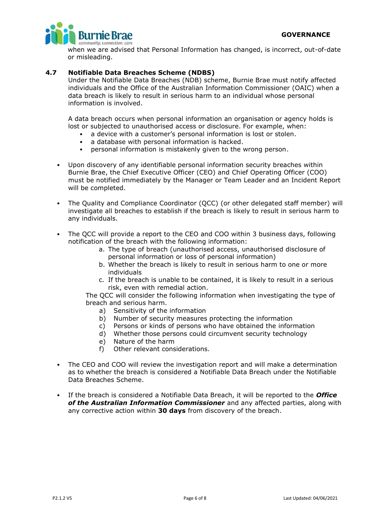

when we are advised that Personal Information has changed, is incorrect, out-of-date or misleading.

# **4.7 Notifiable Data Breaches Scheme (NDBS)**

Under the Notifiable Data Breaches (NDB) scheme, Burnie Brae must notify affected individuals and the Office of the Australian Information Commissioner (OAIC) when a data breach is likely to result in serious harm to an individual whose personal information is involved.

A data breach occurs when personal information an organisation or agency holds is lost or subjected to unauthorised access or disclosure. For example, when:

- a device with a customer's personal information is lost or stolen.
- a database with personal information is hacked.
- personal information is mistakenly given to the wrong person.
- Upon discovery of any identifiable personal information security breaches within Burnie Brae, the Chief Executive Officer (CEO) and Chief Operating Officer (COO) must be notified immediately by the Manager or Team Leader and an Incident Report will be completed.
- The Quality and Compliance Coordinator (QCC) (or other delegated staff member) will investigate all breaches to establish if the breach is likely to result in serious harm to any individuals.
- The QCC will provide a report to the CEO and COO within 3 business days, following notification of the breach with the following information:
	- a. The type of breach (unauthorised access, unauthorised disclosure of personal information or loss of personal information)
	- b. Whether the breach is likely to result in serious harm to one or more individuals
	- c. If the breach is unable to be contained, it is likely to result in a serious risk, even with remedial action.

The QCC will consider the following information when investigating the type of breach and serious harm.

- a) Sensitivity of the information
- b) Number of security measures protecting the information
- c) Persons or kinds of persons who have obtained the information
- d) Whether those persons could circumvent security technology
- e) Nature of the harm
- f) Other relevant considerations.
- The CEO and COO will review the investigation report and will make a determination as to whether the breach is considered a Notifiable Data Breach under the Notifiable Data Breaches Scheme.
- If the breach is considered a Notifiable Data Breach, it will be reported to the *Office of the Australian Information Commissioner* and any affected parties, along with any corrective action within **30 days** from discovery of the breach.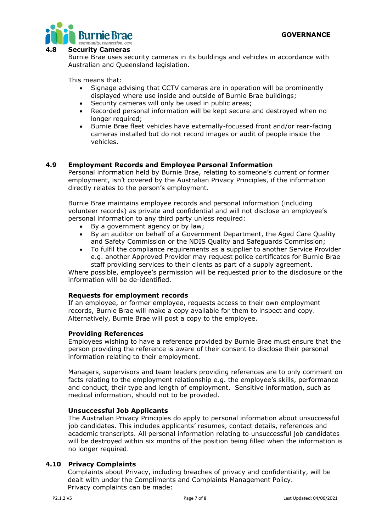

#### **4.8 Security Cameras**

Burnie Brae uses security cameras in its buildings and vehicles in accordance with Australian and Queensland legislation.

This means that:

- Signage advising that CCTV cameras are in operation will be prominently displayed where use inside and outside of Burnie Brae buildings;
- Security cameras will only be used in public areas;
- Recorded personal information will be kept secure and destroyed when no longer required:
- Burnie Brae fleet vehicles have externally-focussed front and/or rear-facing cameras installed but do not record images or audit of people inside the vehicles.

# **4.9 Employment Records and Employee Personal Information**

Personal information held by Burnie Brae, relating to someone's current or former employment, isn't covered by the Australian Privacy Principles, if the information directly relates to the person's employment.

Burnie Brae maintains employee records and personal information (including volunteer records) as private and confidential and will not disclose an employee's personal information to any third party unless required:

- By a government agency or by law;
- By an auditor on behalf of a Government Department, the Aged Care Quality and Safety Commission or the NDIS Quality and Safeguards Commission;
- To fulfil the compliance requirements as a supplier to another Service Provider e.g. another Approved Provider may request police certificates for Burnie Brae staff providing services to their clients as part of a supply agreement.

Where possible, employee's permission will be requested prior to the disclosure or the information will be de-identified.

# **Requests for employment records**

If an employee, or former employee, requests access to their own employment records, Burnie Brae will make a copy available for them to inspect and copy. Alternatively, Burnie Brae will post a copy to the employee.

# **Providing References**

Employees wishing to have a reference provided by Burnie Brae must ensure that the person providing the reference is aware of their consent to disclose their personal information relating to their employment.

Managers, supervisors and team leaders providing references are to only comment on facts relating to the employment relationship e.g. the employee's skills, performance and conduct, their type and length of employment. Sensitive information, such as medical information, should not to be provided.

# **Unsuccessful Job Applicants**

The Australian Privacy Principles do apply to personal information about unsuccessful job candidates. This includes applicants' resumes, contact details, references and academic transcripts. All personal information relating to unsuccessful job candidates will be destroyed within six months of the position being filled when the information is no longer required.

# **4.10 Privacy Complaints**

Complaints about Privacy, including breaches of privacy and confidentiality, will be dealt with under the Compliments and Complaints Management Policy. Privacy complaints can be made: